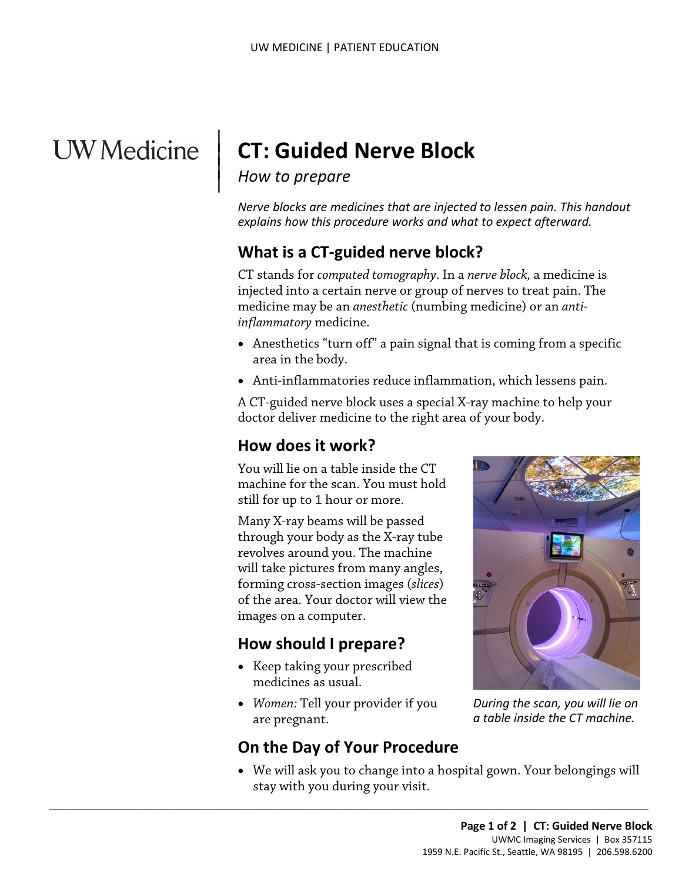# **UW** Medicine

## **CT: Guided Nerve Block**

#### *How to prepare*

 $\parallel$  $\vert$  $\vert$ 

> *Nerve blocks are medicines that are injected to lessen pain. This handout explains how this procedure works and what to expect afterward.*

### **What is a CT-guided nerve block?**

CT stands for *computed tomography*. In a *nerve block,* a medicine is injected into a certain nerve or group of nerves to treat pain. The medicine may be an *anesthetic* (numbing medicine) or an *antiinflammatory* medicine.

- Anesthetics "turn off" a pain signal that is coming from a specific area in the body.
- Anti-inflammatories reduce inflammation, which lessens pain.

A CT-guided nerve block uses a special X-ray machine to help your doctor deliver medicine to the right area of your body.

#### **How does it work?**

You will lie on a table inside the CT machine for the scan. You must hold still for up to 1 hour or more.

Many X-ray beams will be passed through your body as the X-ray tube revolves around you. The machine will take pictures from many angles, forming cross-section images (*slices*) of the area. Your doctor will view the images on a computer.

#### **How should I prepare?**

- Keep taking your prescribed medicines as usual.
- *Women:* Tell your provider if you are pregnant.

#### **On the Day of Your Procedure**

 $\_$  ,  $\_$  ,  $\_$  ,  $\_$  ,  $\_$  ,  $\_$  ,  $\_$  ,  $\_$  ,  $\_$  ,  $\_$  ,  $\_$  ,  $\_$  ,  $\_$  ,  $\_$  ,  $\_$  ,  $\_$  ,  $\_$  ,  $\_$  ,  $\_$  ,  $\_$  ,  $\_$  ,  $\_$  ,  $\_$  ,  $\_$  ,  $\_$  ,  $\_$  ,  $\_$  ,  $\_$  ,  $\_$  ,  $\_$  ,  $\_$  ,  $\_$  ,  $\_$  ,  $\_$  ,  $\_$  ,  $\_$  ,  $\_$  ,



*During the scan, you will lie on a table inside the CT machine.*

• We will ask you to change into a hospital gown. Your belongings will stay with you during your visit.